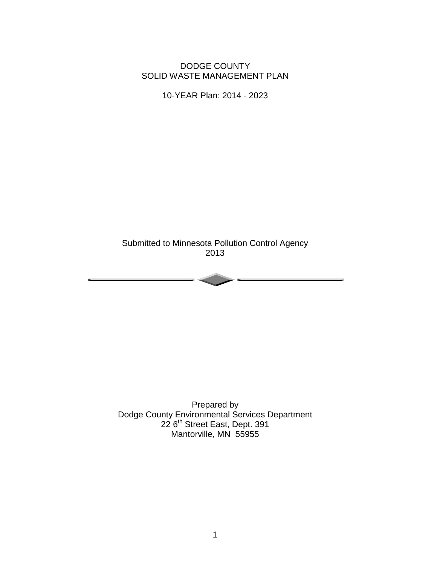### DODGE COUNTY SOLID WASTE MANAGEMENT PLAN

10-YEAR Plan: 2014 - 2023

Submitted to Minnesota Pollution Control Agency 2013

- 6

Prepared by Dodge County Environmental Services Department 22 6<sup>th</sup> Street East, Dept. 391 Mantorville, MN 55955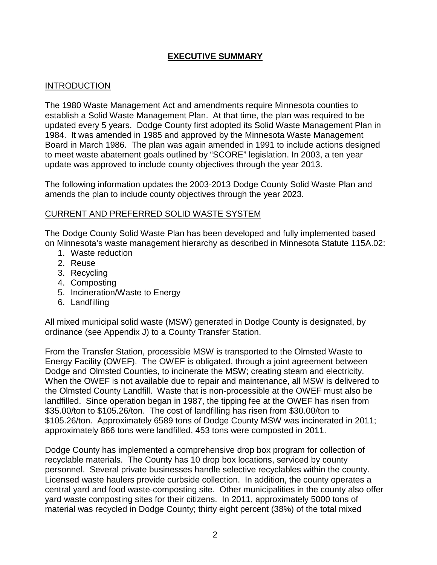## **EXECUTIVE SUMMARY**

### INTRODUCTION

The 1980 Waste Management Act and amendments require Minnesota counties to establish a Solid Waste Management Plan. At that time, the plan was required to be updated every 5 years. Dodge County first adopted its Solid Waste Management Plan in 1984. It was amended in 1985 and approved by the Minnesota Waste Management Board in March 1986. The plan was again amended in 1991 to include actions designed to meet waste abatement goals outlined by "SCORE" legislation. In 2003, a ten year update was approved to include county objectives through the year 2013.

The following information updates the 2003-2013 Dodge County Solid Waste Plan and amends the plan to include county objectives through the year 2023.

#### CURRENT AND PREFERRED SOLID WASTE SYSTEM

The Dodge County Solid Waste Plan has been developed and fully implemented based on Minnesota's waste management hierarchy as described in Minnesota Statute 115A.02:

- 1. Waste reduction
- 2. Reuse
- 3. Recycling
- 4. Composting
- 5. Incineration/Waste to Energy
- 6. Landfilling

All mixed municipal solid waste (MSW) generated in Dodge County is designated, by ordinance (see Appendix J) to a County Transfer Station.

From the Transfer Station, processible MSW is transported to the Olmsted Waste to Energy Facility (OWEF). The OWEF is obligated, through a joint agreement between Dodge and Olmsted Counties, to incinerate the MSW; creating steam and electricity. When the OWEF is not available due to repair and maintenance, all MSW is delivered to the Olmsted County Landfill. Waste that is non-processible at the OWEF must also be landfilled. Since operation began in 1987, the tipping fee at the OWEF has risen from \$35.00/ton to \$105.26/ton. The cost of landfilling has risen from \$30.00/ton to \$105.26/ton. Approximately 6589 tons of Dodge County MSW was incinerated in 2011; approximately 866 tons were landfilled, 453 tons were composted in 2011.

Dodge County has implemented a comprehensive drop box program for collection of recyclable materials. The County has 10 drop box locations, serviced by county personnel. Several private businesses handle selective recyclables within the county. Licensed waste haulers provide curbside collection. In addition, the county operates a central yard and food waste-composting site. Other municipalities in the county also offer yard waste composting sites for their citizens. In 2011, approximately 5000 tons of material was recycled in Dodge County; thirty eight percent (38%) of the total mixed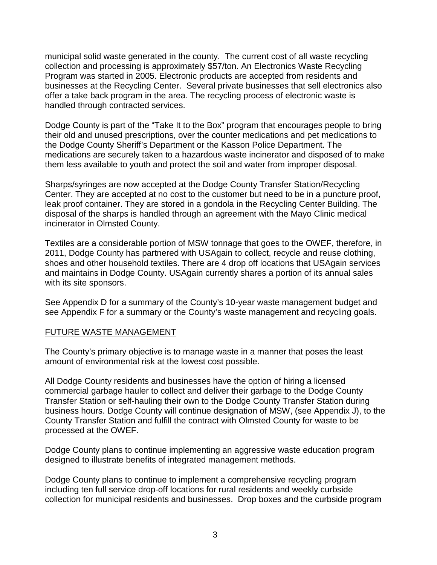municipal solid waste generated in the county. The current cost of all waste recycling collection and processing is approximately \$57/ton. An Electronics Waste Recycling Program was started in 2005. Electronic products are accepted from residents and businesses at the Recycling Center. Several private businesses that sell electronics also offer a take back program in the area. The recycling process of electronic waste is handled through contracted services.

Dodge County is part of the "Take It to the Box" program that encourages people to bring their old and unused prescriptions, over the counter medications and pet medications to the Dodge County Sheriff's Department or the Kasson Police Department. The medications are securely taken to a hazardous waste incinerator and disposed of to make them less available to youth and protect the soil and water from improper disposal.

Sharps/syringes are now accepted at the Dodge County Transfer Station/Recycling Center. They are accepted at no cost to the customer but need to be in a puncture proof, leak proof container. They are stored in a gondola in the Recycling Center Building. The disposal of the sharps is handled through an agreement with the Mayo Clinic medical incinerator in Olmsted County.

Textiles are a considerable portion of MSW tonnage that goes to the OWEF, therefore, in 2011, Dodge County has partnered with USAgain to collect, recycle and reuse clothing, shoes and other household textiles. There are 4 drop off locations that USAgain services and maintains in Dodge County. USAgain currently shares a portion of its annual sales with its site sponsors.

See Appendix D for a summary of the County's 10-year waste management budget and see Appendix F for a summary or the County's waste management and recycling goals.

#### FUTURE WASTE MANAGEMENT

The County's primary objective is to manage waste in a manner that poses the least amount of environmental risk at the lowest cost possible.

All Dodge County residents and businesses have the option of hiring a licensed commercial garbage hauler to collect and deliver their garbage to the Dodge County Transfer Station or self-hauling their own to the Dodge County Transfer Station during business hours. Dodge County will continue designation of MSW, (see Appendix J), to the County Transfer Station and fulfill the contract with Olmsted County for waste to be processed at the OWEF.

Dodge County plans to continue implementing an aggressive waste education program designed to illustrate benefits of integrated management methods.

Dodge County plans to continue to implement a comprehensive recycling program including ten full service drop-off locations for rural residents and weekly curbside collection for municipal residents and businesses. Drop boxes and the curbside program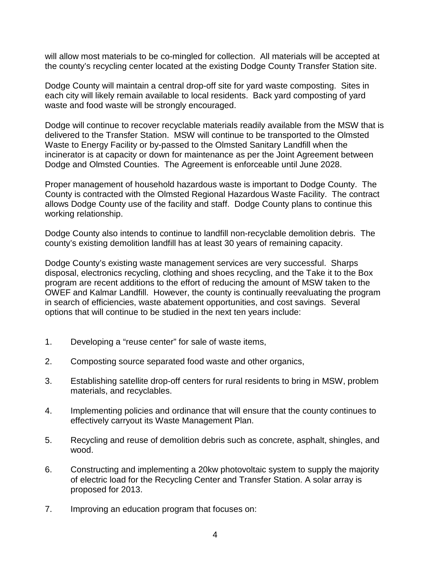will allow most materials to be co-mingled for collection. All materials will be accepted at the county's recycling center located at the existing Dodge County Transfer Station site.

Dodge County will maintain a central drop-off site for yard waste composting. Sites in each city will likely remain available to local residents. Back yard composting of yard waste and food waste will be strongly encouraged.

Dodge will continue to recover recyclable materials readily available from the MSW that is delivered to the Transfer Station. MSW will continue to be transported to the Olmsted Waste to Energy Facility or by-passed to the Olmsted Sanitary Landfill when the incinerator is at capacity or down for maintenance as per the Joint Agreement between Dodge and Olmsted Counties. The Agreement is enforceable until June 2028.

Proper management of household hazardous waste is important to Dodge County. The County is contracted with the Olmsted Regional Hazardous Waste Facility. The contract allows Dodge County use of the facility and staff. Dodge County plans to continue this working relationship.

Dodge County also intends to continue to landfill non-recyclable demolition debris. The county's existing demolition landfill has at least 30 years of remaining capacity.

Dodge County's existing waste management services are very successful. Sharps disposal, electronics recycling, clothing and shoes recycling, and the Take it to the Box program are recent additions to the effort of reducing the amount of MSW taken to the OWEF and Kalmar Landfill. However, the county is continually reevaluating the program in search of efficiencies, waste abatement opportunities, and cost savings. Several options that will continue to be studied in the next ten years include:

- 1. Developing a "reuse center" for sale of waste items,
- 2. Composting source separated food waste and other organics,
- 3. Establishing satellite drop-off centers for rural residents to bring in MSW, problem materials, and recyclables.
- 4. Implementing policies and ordinance that will ensure that the county continues to effectively carryout its Waste Management Plan.
- 5. Recycling and reuse of demolition debris such as concrete, asphalt, shingles, and wood.
- 6. Constructing and implementing a 20kw photovoltaic system to supply the majority of electric load for the Recycling Center and Transfer Station. A solar array is proposed for 2013.
- 7. Improving an education program that focuses on: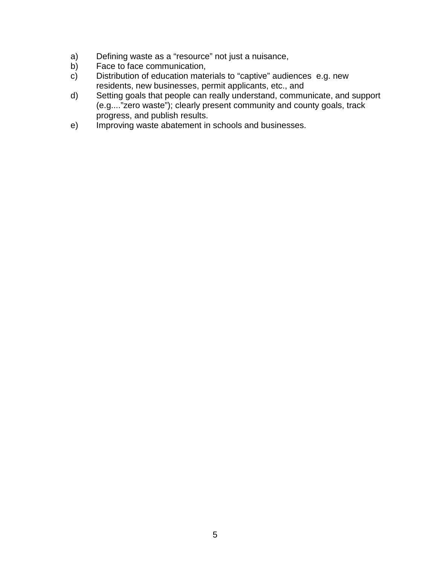- a) Defining waste as a "resource" not just a nuisance,
- b) Face to face communication,
- c) Distribution of education materials to "captive" audiences e.g. new residents, new businesses, permit applicants, etc., and
- d) Setting goals that people can really understand, communicate, and support (e.g...."zero waste"); clearly present community and county goals, track progress, and publish results.
- e) Improving waste abatement in schools and businesses.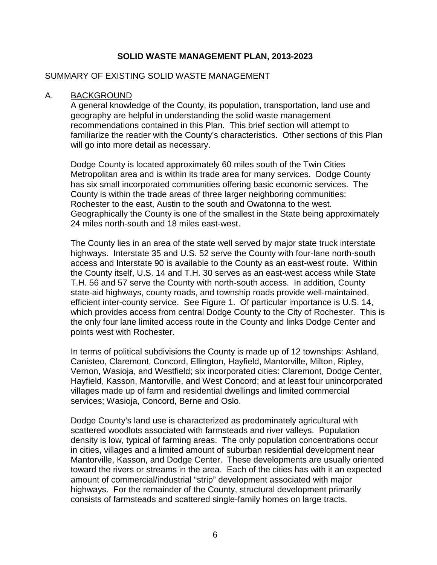### **SOLID WASTE MANAGEMENT PLAN, 2013-2023**

### SUMMARY OF EXISTING SOLID WASTE MANAGEMENT

#### A. BACKGROUND

A general knowledge of the County, its population, transportation, land use and geography are helpful in understanding the solid waste management recommendations contained in this Plan. This brief section will attempt to familiarize the reader with the County's characteristics. Other sections of this Plan will go into more detail as necessary.

Dodge County is located approximately 60 miles south of the Twin Cities Metropolitan area and is within its trade area for many services. Dodge County has six small incorporated communities offering basic economic services. The County is within the trade areas of three larger neighboring communities: Rochester to the east, Austin to the south and Owatonna to the west. Geographically the County is one of the smallest in the State being approximately 24 miles north-south and 18 miles east-west.

The County lies in an area of the state well served by major state truck interstate highways. Interstate 35 and U.S. 52 serve the County with four-lane north-south access and Interstate 90 is available to the County as an east-west route. Within the County itself, U.S. 14 and T.H. 30 serves as an east-west access while State T.H. 56 and 57 serve the County with north-south access. In addition, County state-aid highways, county roads, and township roads provide well-maintained, efficient inter-county service. See Figure 1. Of particular importance is U.S. 14, which provides access from central Dodge County to the City of Rochester. This is the only four lane limited access route in the County and links Dodge Center and points west with Rochester.

In terms of political subdivisions the County is made up of 12 townships: Ashland, Canisteo, Claremont, Concord, Ellington, Hayfield, Mantorville, Milton, Ripley, Vernon, Wasioja, and Westfield; six incorporated cities: Claremont, Dodge Center, Hayfield, Kasson, Mantorville, and West Concord; and at least four unincorporated villages made up of farm and residential dwellings and limited commercial services; Wasioja, Concord, Berne and Oslo.

Dodge County's land use is characterized as predominately agricultural with scattered woodlots associated with farmsteads and river valleys. Population density is low, typical of farming areas. The only population concentrations occur in cities, villages and a limited amount of suburban residential development near Mantorville, Kasson, and Dodge Center. These developments are usually oriented toward the rivers or streams in the area. Each of the cities has with it an expected amount of commercial/industrial "strip" development associated with major highways. For the remainder of the County, structural development primarily consists of farmsteads and scattered single-family homes on large tracts.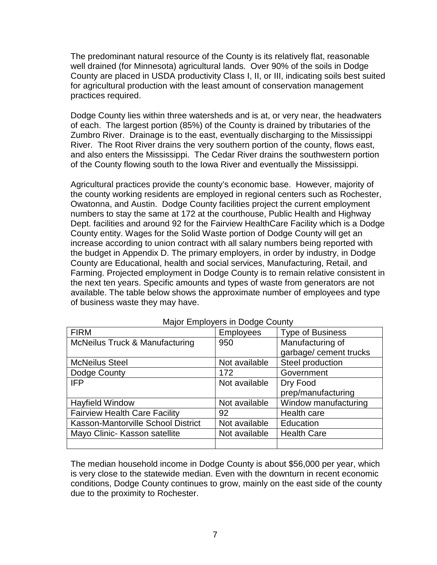The predominant natural resource of the County is its relatively flat, reasonable well drained (for Minnesota) agricultural lands. Over 90% of the soils in Dodge County are placed in USDA productivity Class I, II, or III, indicating soils best suited for agricultural production with the least amount of conservation management practices required.

Dodge County lies within three watersheds and is at, or very near, the headwaters of each. The largest portion (85%) of the County is drained by tributaries of the Zumbro River. Drainage is to the east, eventually discharging to the Mississippi River. The Root River drains the very southern portion of the county, flows east, and also enters the Mississippi. The Cedar River drains the southwestern portion of the County flowing south to the Iowa River and eventually the Mississippi.

Agricultural practices provide the county's economic base. However, majority of the county working residents are employed in regional centers such as Rochester, Owatonna, and Austin. Dodge County facilities project the current employment numbers to stay the same at 172 at the courthouse, Public Health and Highway Dept. facilities and around 92 for the Fairview HealthCare Facility which is a Dodge County entity. Wages for the Solid Waste portion of Dodge County will get an increase according to union contract with all salary numbers being reported with the budget in Appendix D. The primary employers, in order by industry, in Dodge County are Educational, health and social services, Manufacturing, Retail, and Farming. Projected employment in Dodge County is to remain relative consistent in the next ten years. Specific amounts and types of waste from generators are not available. The table below shows the approximate number of employees and type of business waste they may have.

| <b>FIRM</b>                               | <b>Employees</b> | <b>Type of Business</b> |  |  |  |  |
|-------------------------------------------|------------------|-------------------------|--|--|--|--|
| <b>McNeilus Truck &amp; Manufacturing</b> | 950              | Manufacturing of        |  |  |  |  |
|                                           |                  | garbage/ cement trucks  |  |  |  |  |
| <b>McNeilus Steel</b>                     | Not available    | Steel production        |  |  |  |  |
| Dodge County                              | 172              | Government              |  |  |  |  |
| <b>IFP</b>                                | Not available    | Dry Food                |  |  |  |  |
|                                           |                  | prep/manufacturing      |  |  |  |  |
| <b>Hayfield Window</b>                    | Not available    | Window manufacturing    |  |  |  |  |
| <b>Fairview Health Care Facility</b>      | 92               | Health care             |  |  |  |  |
| Kasson-Mantorville School District        | Not available    | Education               |  |  |  |  |
| Mayo Clinic- Kasson satellite             | Not available    | <b>Health Care</b>      |  |  |  |  |
|                                           |                  |                         |  |  |  |  |

Major Employers in Dodge County

The median household income in Dodge County is about \$56,000 per year, which is very close to the statewide median. Even with the downturn in recent economic conditions, Dodge County continues to grow, mainly on the east side of the county due to the proximity to Rochester.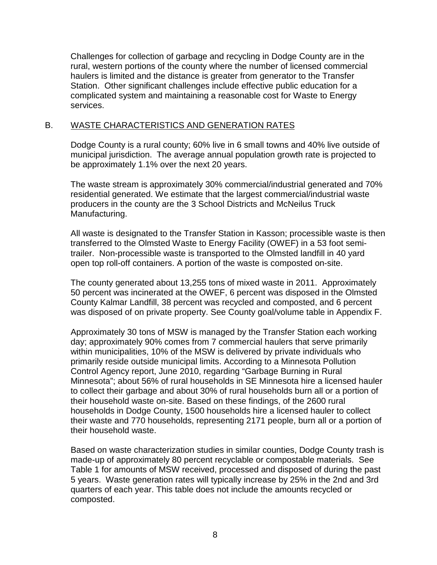Challenges for collection of garbage and recycling in Dodge County are in the rural, western portions of the county where the number of licensed commercial haulers is limited and the distance is greater from generator to the Transfer Station. Other significant challenges include effective public education for a complicated system and maintaining a reasonable cost for Waste to Energy services.

#### B. WASTE CHARACTERISTICS AND GENERATION RATES

Dodge County is a rural county; 60% live in 6 small towns and 40% live outside of municipal jurisdiction. The average annual population growth rate is projected to be approximately 1.1% over the next 20 years.

The waste stream is approximately 30% commercial/industrial generated and 70% residential generated. We estimate that the largest commercial/industrial waste producers in the county are the 3 School Districts and McNeilus Truck Manufacturing.

All waste is designated to the Transfer Station in Kasson; processible waste is then transferred to the Olmsted Waste to Energy Facility (OWEF) in a 53 foot semitrailer. Non-processible waste is transported to the Olmsted landfill in 40 yard open top roll-off containers. A portion of the waste is composted on-site.

The county generated about 13,255 tons of mixed waste in 2011. Approximately 50 percent was incinerated at the OWEF, 6 percent was disposed in the Olmsted County Kalmar Landfill, 38 percent was recycled and composted, and 6 percent was disposed of on private property. See County goal/volume table in Appendix F.

Approximately 30 tons of MSW is managed by the Transfer Station each working day; approximately 90% comes from 7 commercial haulers that serve primarily within municipalities, 10% of the MSW is delivered by private individuals who primarily reside outside municipal limits. According to a Minnesota Pollution Control Agency report, June 2010, regarding "Garbage Burning in Rural Minnesota"; about 56% of rural households in SE Minnesota hire a licensed hauler to collect their garbage and about 30% of rural households burn all or a portion of their household waste on-site. Based on these findings, of the 2600 rural households in Dodge County, 1500 households hire a licensed hauler to collect their waste and 770 households, representing 2171 people, burn all or a portion of their household waste.

Based on waste characterization studies in similar counties, Dodge County trash is made-up of approximately 80 percent recyclable or compostable materials. See Table 1 for amounts of MSW received, processed and disposed of during the past 5 years. Waste generation rates will typically increase by 25% in the 2nd and 3rd quarters of each year. This table does not include the amounts recycled or composted.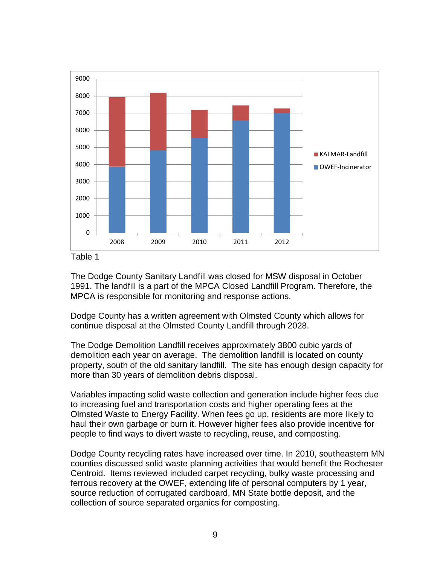

Table 1

The Dodge County Sanitary Landfill was closed for MSW disposal in October 1991. The landfill is a part of the MPCA Closed Landfill Program. Therefore, the MPCA is responsible for monitoring and response actions.

Dodge County has a written agreement with Olmsted County which allows for continue disposal at the Olmsted County Landfill through 2028.

The Dodge Demolition Landfill receives approximately 3800 cubic yards of demolition each year on average. The demolition landfill is located on county property, south of the old sanitary landfill. The site has enough design capacity for more than 30 years of demolition debris disposal.

Variables impacting solid waste collection and generation include higher fees due to increasing fuel and transportation costs and higher operating fees at the Olmsted Waste to Energy Facility. When fees go up, residents are more likely to haul their own garbage or burn it. However higher fees also provide incentive for people to find ways to divert waste to recycling, reuse, and composting.

Dodge County recycling rates have increased over time. In 2010, southeastern MN counties discussed solid waste planning activities that would benefit the Rochester Centroid. Items reviewed included carpet recycling, bulky waste processing and ferrous recovery at the OWEF, extending life of personal computers by 1 year, source reduction of corrugated cardboard, MN State bottle deposit, and the collection of source separated organics for composting.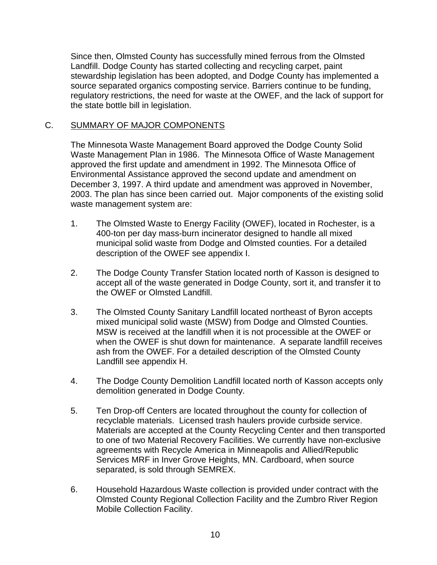Since then, Olmsted County has successfully mined ferrous from the Olmsted Landfill. Dodge County has started collecting and recycling carpet, paint stewardship legislation has been adopted, and Dodge County has implemented a source separated organics composting service. Barriers continue to be funding, regulatory restrictions, the need for waste at the OWEF, and the lack of support for the state bottle bill in legislation.

### C. SUMMARY OF MAJOR COMPONENTS

The Minnesota Waste Management Board approved the Dodge County Solid Waste Management Plan in 1986. The Minnesota Office of Waste Management approved the first update and amendment in 1992. The Minnesota Office of Environmental Assistance approved the second update and amendment on December 3, 1997. A third update and amendment was approved in November, 2003. The plan has since been carried out. Major components of the existing solid waste management system are:

- 1. The Olmsted Waste to Energy Facility (OWEF), located in Rochester, is a 400-ton per day mass-burn incinerator designed to handle all mixed municipal solid waste from Dodge and Olmsted counties. For a detailed description of the OWEF see appendix I.
- 2. The Dodge County Transfer Station located north of Kasson is designed to accept all of the waste generated in Dodge County, sort it, and transfer it to the OWEF or Olmsted Landfill.
- 3. The Olmsted County Sanitary Landfill located northeast of Byron accepts mixed municipal solid waste (MSW) from Dodge and Olmsted Counties. MSW is received at the landfill when it is not processible at the OWEF or when the OWEF is shut down for maintenance. A separate landfill receives ash from the OWEF. For a detailed description of the Olmsted County Landfill see appendix H.
- 4. The Dodge County Demolition Landfill located north of Kasson accepts only demolition generated in Dodge County.
- 5. Ten Drop-off Centers are located throughout the county for collection of recyclable materials. Licensed trash haulers provide curbside service. Materials are accepted at the County Recycling Center and then transported to one of two Material Recovery Facilities. We currently have non-exclusive agreements with Recycle America in Minneapolis and Allied/Republic Services MRF in Inver Grove Heights, MN. Cardboard, when source separated, is sold through SEMREX.
- 6. Household Hazardous Waste collection is provided under contract with the Olmsted County Regional Collection Facility and the Zumbro River Region Mobile Collection Facility.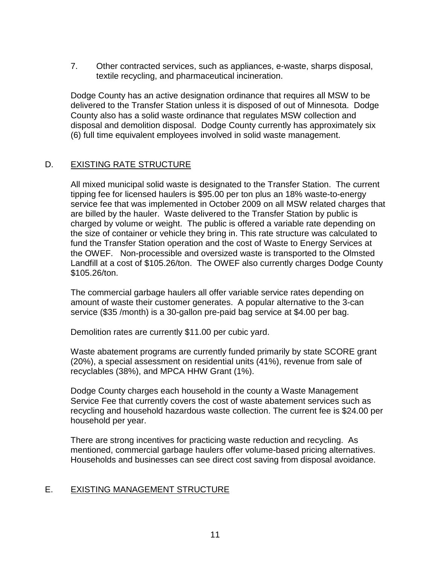7. Other contracted services, such as appliances, e-waste, sharps disposal, textile recycling, and pharmaceutical incineration.

Dodge County has an active designation ordinance that requires all MSW to be delivered to the Transfer Station unless it is disposed of out of Minnesota. Dodge County also has a solid waste ordinance that regulates MSW collection and disposal and demolition disposal. Dodge County currently has approximately six (6) full time equivalent employees involved in solid waste management.

## D. EXISTING RATE STRUCTURE

All mixed municipal solid waste is designated to the Transfer Station. The current tipping fee for licensed haulers is \$95.00 per ton plus an 18% waste-to-energy service fee that was implemented in October 2009 on all MSW related charges that are billed by the hauler. Waste delivered to the Transfer Station by public is charged by volume or weight. The public is offered a variable rate depending on the size of container or vehicle they bring in. This rate structure was calculated to fund the Transfer Station operation and the cost of Waste to Energy Services at the OWEF. Non-processible and oversized waste is transported to the Olmsted Landfill at a cost of \$105.26/ton. The OWEF also currently charges Dodge County \$105.26/ton.

The commercial garbage haulers all offer variable service rates depending on amount of waste their customer generates. A popular alternative to the 3-can service (\$35 /month) is a 30-gallon pre-paid bag service at \$4.00 per bag.

Demolition rates are currently \$11.00 per cubic yard.

Waste abatement programs are currently funded primarily by state SCORE grant (20%), a special assessment on residential units (41%), revenue from sale of recyclables (38%), and MPCA HHW Grant (1%).

Dodge County charges each household in the county a Waste Management Service Fee that currently covers the cost of waste abatement services such as recycling and household hazardous waste collection. The current fee is \$24.00 per household per year.

There are strong incentives for practicing waste reduction and recycling. As mentioned, commercial garbage haulers offer volume-based pricing alternatives. Households and businesses can see direct cost saving from disposal avoidance.

## E. EXISTING MANAGEMENT STRUCTURE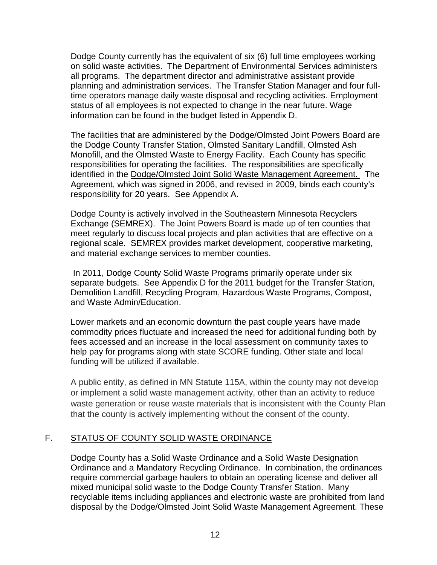Dodge County currently has the equivalent of six (6) full time employees working on solid waste activities. The Department of Environmental Services administers all programs. The department director and administrative assistant provide planning and administration services. The Transfer Station Manager and four fulltime operators manage daily waste disposal and recycling activities. Employment status of all employees is not expected to change in the near future. Wage information can be found in the budget listed in Appendix D.

The facilities that are administered by the Dodge/Olmsted Joint Powers Board are the Dodge County Transfer Station, Olmsted Sanitary Landfill, Olmsted Ash Monofill, and the Olmsted Waste to Energy Facility. Each County has specific responsibilities for operating the facilities. The responsibilities are specifically identified in the Dodge/Olmsted Joint Solid Waste Management Agreement. The Agreement, which was signed in 2006, and revised in 2009, binds each county's responsibility for 20 years. See Appendix A.

Dodge County is actively involved in the Southeastern Minnesota Recyclers Exchange (SEMREX). The Joint Powers Board is made up of ten counties that meet regularly to discuss local projects and plan activities that are effective on a regional scale. SEMREX provides market development, cooperative marketing, and material exchange services to member counties.

In 2011, Dodge County Solid Waste Programs primarily operate under six separate budgets. See Appendix D for the 2011 budget for the Transfer Station, Demolition Landfill, Recycling Program, Hazardous Waste Programs, Compost, and Waste Admin/Education.

Lower markets and an economic downturn the past couple years have made commodity prices fluctuate and increased the need for additional funding both by fees accessed and an increase in the local assessment on community taxes to help pay for programs along with state SCORE funding. Other state and local funding will be utilized if available.

A public entity, as defined in MN Statute 115A, within the county may not develop or implement a solid waste management activity, other than an activity to reduce waste generation or reuse waste materials that is inconsistent with the County Plan that the county is actively implementing without the consent of the county.

## F. STATUS OF COUNTY SOLID WASTE ORDINANCE

Dodge County has a Solid Waste Ordinance and a Solid Waste Designation Ordinance and a Mandatory Recycling Ordinance. In combination, the ordinances require commercial garbage haulers to obtain an operating license and deliver all mixed municipal solid waste to the Dodge County Transfer Station. Many recyclable items including appliances and electronic waste are prohibited from land disposal by the Dodge/Olmsted Joint Solid Waste Management Agreement. These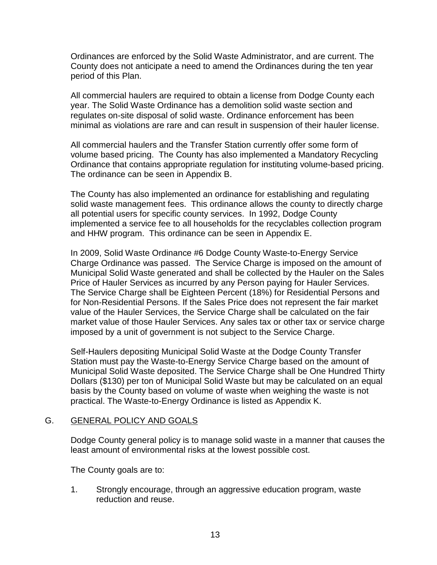Ordinances are enforced by the Solid Waste Administrator, and are current. The County does not anticipate a need to amend the Ordinances during the ten year period of this Plan.

All commercial haulers are required to obtain a license from Dodge County each year. The Solid Waste Ordinance has a demolition solid waste section and regulates on-site disposal of solid waste. Ordinance enforcement has been minimal as violations are rare and can result in suspension of their hauler license.

All commercial haulers and the Transfer Station currently offer some form of volume based pricing. The County has also implemented a Mandatory Recycling Ordinance that contains appropriate regulation for instituting volume-based pricing. The ordinance can be seen in Appendix B.

The County has also implemented an ordinance for establishing and regulating solid waste management fees. This ordinance allows the county to directly charge all potential users for specific county services. In 1992, Dodge County implemented a service fee to all households for the recyclables collection program and HHW program. This ordinance can be seen in Appendix E.

In 2009, Solid Waste Ordinance #6 Dodge County Waste-to-Energy Service Charge Ordinance was passed. The Service Charge is imposed on the amount of Municipal Solid Waste generated and shall be collected by the Hauler on the Sales Price of Hauler Services as incurred by any Person paying for Hauler Services. The Service Charge shall be Eighteen Percent (18%) for Residential Persons and for Non-Residential Persons. If the Sales Price does not represent the fair market value of the Hauler Services, the Service Charge shall be calculated on the fair market value of those Hauler Services. Any sales tax or other tax or service charge imposed by a unit of government is not subject to the Service Charge.

Self-Haulers depositing Municipal Solid Waste at the Dodge County Transfer Station must pay the Waste-to-Energy Service Charge based on the amount of Municipal Solid Waste deposited. The Service Charge shall be One Hundred Thirty Dollars (\$130) per ton of Municipal Solid Waste but may be calculated on an equal basis by the County based on volume of waste when weighing the waste is not practical. The Waste-to-Energy Ordinance is listed as Appendix K.

#### G. GENERAL POLICY AND GOALS

Dodge County general policy is to manage solid waste in a manner that causes the least amount of environmental risks at the lowest possible cost.

The County goals are to:

1. Strongly encourage, through an aggressive education program, waste reduction and reuse.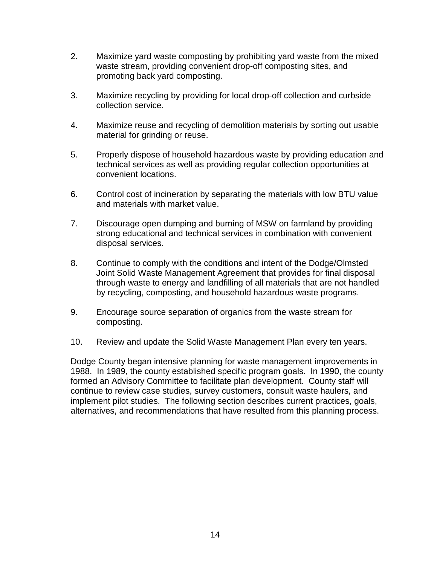- 2. Maximize yard waste composting by prohibiting yard waste from the mixed waste stream, providing convenient drop-off composting sites, and promoting back yard composting.
- 3. Maximize recycling by providing for local drop-off collection and curbside collection service.
- 4. Maximize reuse and recycling of demolition materials by sorting out usable material for grinding or reuse.
- 5. Properly dispose of household hazardous waste by providing education and technical services as well as providing regular collection opportunities at convenient locations.
- 6. Control cost of incineration by separating the materials with low BTU value and materials with market value.
- 7. Discourage open dumping and burning of MSW on farmland by providing strong educational and technical services in combination with convenient disposal services.
- 8. Continue to comply with the conditions and intent of the Dodge/Olmsted Joint Solid Waste Management Agreement that provides for final disposal through waste to energy and landfilling of all materials that are not handled by recycling, composting, and household hazardous waste programs.
- 9. Encourage source separation of organics from the waste stream for composting.
- 10. Review and update the Solid Waste Management Plan every ten years.

Dodge County began intensive planning for waste management improvements in 1988. In 1989, the county established specific program goals. In 1990, the county formed an Advisory Committee to facilitate plan development. County staff will continue to review case studies, survey customers, consult waste haulers, and implement pilot studies. The following section describes current practices, goals, alternatives, and recommendations that have resulted from this planning process.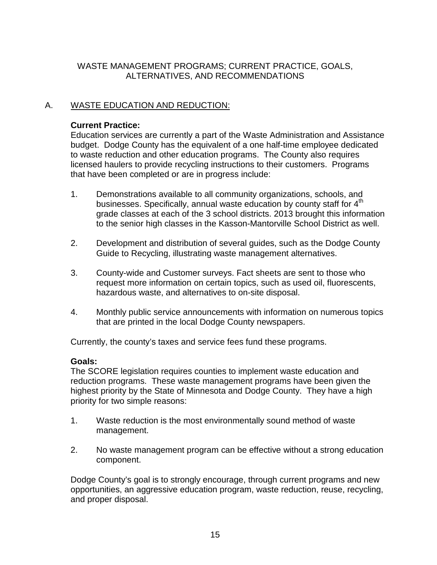## WASTE MANAGEMENT PROGRAMS; CURRENT PRACTICE, GOALS, ALTERNATIVES, AND RECOMMENDATIONS

# A. WASTE EDUCATION AND REDUCTION:

## **Current Practice:**

Education services are currently a part of the Waste Administration and Assistance budget. Dodge County has the equivalent of a one half-time employee dedicated to waste reduction and other education programs. The County also requires licensed haulers to provide recycling instructions to their customers. Programs that have been completed or are in progress include:

- 1. Demonstrations available to all community organizations, schools, and businesses. Specifically, annual waste education by county staff for 4<sup>th</sup> grade classes at each of the 3 school districts. 2013 brought this information to the senior high classes in the Kasson-Mantorville School District as well.
- 2. Development and distribution of several guides, such as the Dodge County Guide to Recycling, illustrating waste management alternatives.
- 3. County-wide and Customer surveys. Fact sheets are sent to those who request more information on certain topics, such as used oil, fluorescents, hazardous waste, and alternatives to on-site disposal.
- 4. Monthly public service announcements with information on numerous topics that are printed in the local Dodge County newspapers.

Currently, the county's taxes and service fees fund these programs.

## **Goals:**

The SCORE legislation requires counties to implement waste education and reduction programs. These waste management programs have been given the highest priority by the State of Minnesota and Dodge County. They have a high priority for two simple reasons:

- 1. Waste reduction is the most environmentally sound method of waste management.
- 2. No waste management program can be effective without a strong education component.

Dodge County's goal is to strongly encourage, through current programs and new opportunities, an aggressive education program, waste reduction, reuse, recycling, and proper disposal.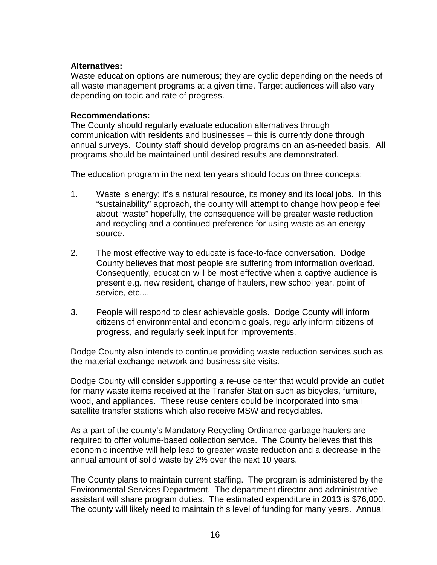#### **Alternatives:**

Waste education options are numerous; they are cyclic depending on the needs of all waste management programs at a given time. Target audiences will also vary depending on topic and rate of progress.

#### **Recommendations:**

The County should regularly evaluate education alternatives through communication with residents and businesses – this is currently done through annual surveys. County staff should develop programs on an as-needed basis. All programs should be maintained until desired results are demonstrated.

The education program in the next ten years should focus on three concepts:

- 1. Waste is energy; it's a natural resource, its money and its local jobs. In this "sustainability" approach, the county will attempt to change how people feel about "waste" hopefully, the consequence will be greater waste reduction and recycling and a continued preference for using waste as an energy source.
- 2. The most effective way to educate is face-to-face conversation. Dodge County believes that most people are suffering from information overload. Consequently, education will be most effective when a captive audience is present e.g. new resident, change of haulers, new school year, point of service, etc....
- 3. People will respond to clear achievable goals. Dodge County will inform citizens of environmental and economic goals, regularly inform citizens of progress, and regularly seek input for improvements.

Dodge County also intends to continue providing waste reduction services such as the material exchange network and business site visits.

Dodge County will consider supporting a re-use center that would provide an outlet for many waste items received at the Transfer Station such as bicycles, furniture, wood, and appliances. These reuse centers could be incorporated into small satellite transfer stations which also receive MSW and recyclables.

As a part of the county's Mandatory Recycling Ordinance garbage haulers are required to offer volume-based collection service. The County believes that this economic incentive will help lead to greater waste reduction and a decrease in the annual amount of solid waste by 2% over the next 10 years.

The County plans to maintain current staffing. The program is administered by the Environmental Services Department. The department director and administrative assistant will share program duties. The estimated expenditure in 2013 is \$76,000. The county will likely need to maintain this level of funding for many years. Annual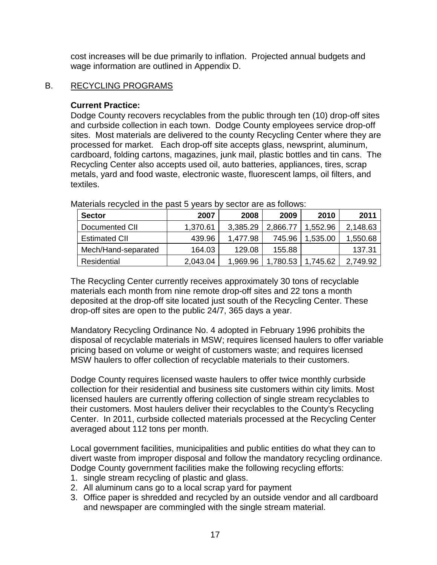cost increases will be due primarily to inflation. Projected annual budgets and wage information are outlined in Appendix D.

### B. RECYCLING PROGRAMS

### **Current Practice:**

Dodge County recovers recyclables from the public through ten (10) drop-off sites and curbside collection in each town. Dodge County employees service drop-off sites. Most materials are delivered to the county Recycling Center where they are processed for market. Each drop-off site accepts glass, newsprint, aluminum, cardboard, folding cartons, magazines, junk mail, plastic bottles and tin cans. The Recycling Center also accepts used oil, auto batteries, appliances, tires, scrap metals, yard and food waste, electronic waste, fluorescent lamps, oil filters, and textiles.

| <b>Sector</b>        | 2007     | 2008     | 2009     | 2010     | 2011     |
|----------------------|----------|----------|----------|----------|----------|
| Documented CII       | 1,370.61 | 3,385.29 | 2,866.77 | 1.552.96 | 2,148.63 |
| <b>Estimated CII</b> | 439.96   | 1.477.98 | 745.96   | 1,535.00 | 1,550.68 |
| Mech/Hand-separated  | 164.03   | 129.08   | 155.88   |          | 137.31   |
| Residential          | 2,043.04 | 1.969.96 | 1,780.53 | 1,745.62 | 2.749.92 |

Materials recycled in the past 5 years by sector are as follows:

The Recycling Center currently receives approximately 30 tons of recyclable materials each month from nine remote drop-off sites and 22 tons a month deposited at the drop-off site located just south of the Recycling Center. These drop-off sites are open to the public 24/7, 365 days a year.

Mandatory Recycling Ordinance No. 4 adopted in February 1996 prohibits the disposal of recyclable materials in MSW; requires licensed haulers to offer variable pricing based on volume or weight of customers waste; and requires licensed MSW haulers to offer collection of recyclable materials to their customers.

Dodge County requires licensed waste haulers to offer twice monthly curbside collection for their residential and business site customers within city limits. Most licensed haulers are currently offering collection of single stream recyclables to their customers. Most haulers deliver their recyclables to the County's Recycling Center. In 2011, curbside collected materials processed at the Recycling Center averaged about 112 tons per month.

Local government facilities, municipalities and public entities do what they can to divert waste from improper disposal and follow the mandatory recycling ordinance. Dodge County government facilities make the following recycling efforts:

- 1. single stream recycling of plastic and glass.
- 2. All aluminum cans go to a local scrap yard for payment
- 3. Office paper is shredded and recycled by an outside vendor and all cardboard and newspaper are commingled with the single stream material.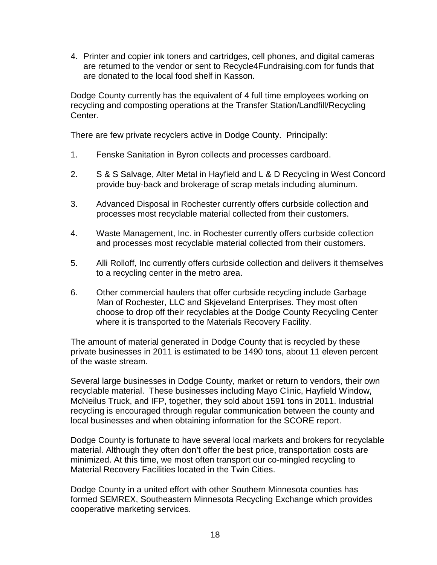4. Printer and copier ink toners and cartridges, cell phones, and digital cameras are returned to the vendor or sent to Recycle4Fundraising.com for funds that are donated to the local food shelf in Kasson.

Dodge County currently has the equivalent of 4 full time employees working on recycling and composting operations at the Transfer Station/Landfill/Recycling Center.

There are few private recyclers active in Dodge County. Principally:

- 1. Fenske Sanitation in Byron collects and processes cardboard.
- 2. S & S Salvage, Alter Metal in Hayfield and L & D Recycling in West Concord provide buy-back and brokerage of scrap metals including aluminum.
- 3. Advanced Disposal in Rochester currently offers curbside collection and processes most recyclable material collected from their customers.
- 4. Waste Management, Inc. in Rochester currently offers curbside collection and processes most recyclable material collected from their customers.
- 5. Alli Rolloff, Inc currently offers curbside collection and delivers it themselves to a recycling center in the metro area.
- 6. Other commercial haulers that offer curbside recycling include Garbage Man of Rochester, LLC and Skjeveland Enterprises. They most often choose to drop off their recyclables at the Dodge County Recycling Center where it is transported to the Materials Recovery Facility.

The amount of material generated in Dodge County that is recycled by these private businesses in 2011 is estimated to be 1490 tons, about 11 eleven percent of the waste stream.

Several large businesses in Dodge County, market or return to vendors, their own recyclable material. These businesses including Mayo Clinic, Hayfield Window, McNeilus Truck, and IFP, together, they sold about 1591 tons in 2011. Industrial recycling is encouraged through regular communication between the county and local businesses and when obtaining information for the SCORE report.

Dodge County is fortunate to have several local markets and brokers for recyclable material. Although they often don't offer the best price, transportation costs are minimized. At this time, we most often transport our co-mingled recycling to Material Recovery Facilities located in the Twin Cities.

Dodge County in a united effort with other Southern Minnesota counties has formed SEMREX, Southeastern Minnesota Recycling Exchange which provides cooperative marketing services.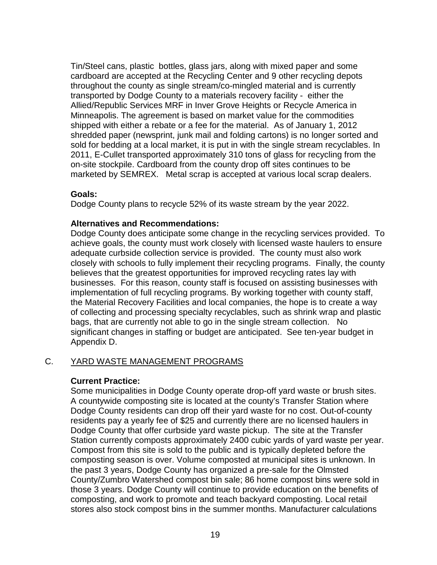Tin/Steel cans, plastic bottles, glass jars, along with mixed paper and some cardboard are accepted at the Recycling Center and 9 other recycling depots throughout the county as single stream/co-mingled material and is currently transported by Dodge County to a materials recovery facility - either the Allied/Republic Services MRF in Inver Grove Heights or Recycle America in Minneapolis. The agreement is based on market value for the commodities shipped with either a rebate or a fee for the material. As of January 1, 2012 shredded paper (newsprint, junk mail and folding cartons) is no longer sorted and sold for bedding at a local market, it is put in with the single stream recyclables. In 2011, E-Cullet transported approximately 310 tons of glass for recycling from the on-site stockpile. Cardboard from the county drop off sites continues to be marketed by SEMREX. Metal scrap is accepted at various local scrap dealers.

### **Goals:**

Dodge County plans to recycle 52% of its waste stream by the year 2022.

### **Alternatives and Recommendations:**

Dodge County does anticipate some change in the recycling services provided. To achieve goals, the county must work closely with licensed waste haulers to ensure adequate curbside collection service is provided. The county must also work closely with schools to fully implement their recycling programs. Finally, the county believes that the greatest opportunities for improved recycling rates lay with businesses. For this reason, county staff is focused on assisting businesses with implementation of full recycling programs. By working together with county staff, the Material Recovery Facilities and local companies, the hope is to create a way of collecting and processing specialty recyclables, such as shrink wrap and plastic bags, that are currently not able to go in the single stream collection. No significant changes in staffing or budget are anticipated. See ten-year budget in Appendix D.

## C. YARD WASTE MANAGEMENT PROGRAMS

## **Current Practice:**

Some municipalities in Dodge County operate drop-off yard waste or brush sites. A countywide composting site is located at the county's Transfer Station where Dodge County residents can drop off their yard waste for no cost. Out-of-county residents pay a yearly fee of \$25 and currently there are no licensed haulers in Dodge County that offer curbside yard waste pickup. The site at the Transfer Station currently composts approximately 2400 cubic yards of yard waste per year. Compost from this site is sold to the public and is typically depleted before the composting season is over. Volume composted at municipal sites is unknown. In the past 3 years, Dodge County has organized a pre-sale for the Olmsted County/Zumbro Watershed compost bin sale; 86 home compost bins were sold in those 3 years. Dodge County will continue to provide education on the benefits of composting, and work to promote and teach backyard composting. Local retail stores also stock compost bins in the summer months. Manufacturer calculations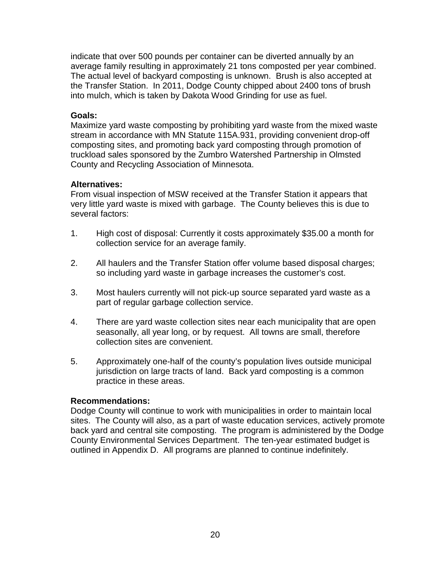indicate that over 500 pounds per container can be diverted annually by an average family resulting in approximately 21 tons composted per year combined. The actual level of backyard composting is unknown. Brush is also accepted at the Transfer Station. In 2011, Dodge County chipped about 2400 tons of brush into mulch, which is taken by Dakota Wood Grinding for use as fuel.

### **Goals:**

Maximize yard waste composting by prohibiting yard waste from the mixed waste stream in accordance with MN Statute 115A.931, providing convenient drop-off composting sites, and promoting back yard composting through promotion of truckload sales sponsored by the Zumbro Watershed Partnership in Olmsted County and Recycling Association of Minnesota.

## **Alternatives:**

From visual inspection of MSW received at the Transfer Station it appears that very little yard waste is mixed with garbage. The County believes this is due to several factors:

- 1. High cost of disposal: Currently it costs approximately \$35.00 a month for collection service for an average family.
- 2. All haulers and the Transfer Station offer volume based disposal charges; so including yard waste in garbage increases the customer's cost.
- 3. Most haulers currently will not pick-up source separated yard waste as a part of regular garbage collection service.
- 4. There are yard waste collection sites near each municipality that are open seasonally, all year long, or by request. All towns are small, therefore collection sites are convenient.
- 5. Approximately one-half of the county's population lives outside municipal jurisdiction on large tracts of land. Back yard composting is a common practice in these areas.

#### **Recommendations:**

Dodge County will continue to work with municipalities in order to maintain local sites. The County will also, as a part of waste education services, actively promote back yard and central site composting. The program is administered by the Dodge County Environmental Services Department. The ten-year estimated budget is outlined in Appendix D. All programs are planned to continue indefinitely.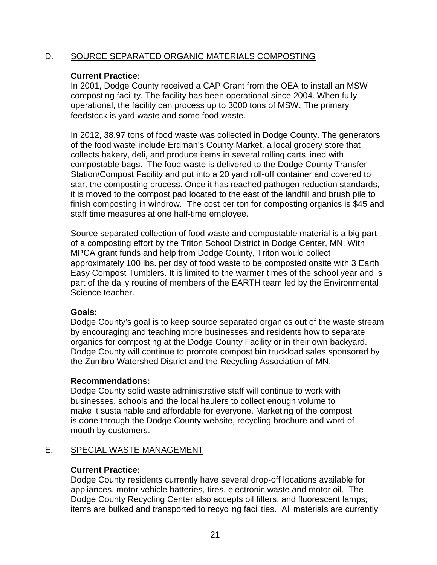### D. SOURCE SEPARATED ORGANIC MATERIALS COMPOSTING

### **Current Practice:**

In 2001, Dodge County received a CAP Grant from the OEA to install an MSW composting facility. The facility has been operational since 2004. When fully operational, the facility can process up to 3000 tons of MSW. The primary feedstock is yard waste and some food waste.

In 2012, 38.97 tons of food waste was collected in Dodge County. The generators of the food waste include Erdman's County Market, a local grocery store that collects bakery, deli, and produce items in several rolling carts lined with compostable bags. The food waste is delivered to the Dodge County Transfer Station/Compost Facility and put into a 20 yard roll-off container and covered to start the composting process. Once it has reached pathogen reduction standards, it is moved to the compost pad located to the east of the landfill and brush pile to finish composting in windrow. The cost per ton for composting organics is \$45 and staff time measures at one half-time employee.

Source separated collection of food waste and compostable material is a big part of a composting effort by the Triton School District in Dodge Center, MN. With MPCA grant funds and help from Dodge County, Triton would collect approximately 100 lbs. per day of food waste to be composted onsite with 3 Earth Easy Compost Tumblers. It is limited to the warmer times of the school year and is part of the daily routine of members of the EARTH team led by the Environmental Science teacher.

#### **Goals:**

Dodge County's goal is to keep source separated organics out of the waste stream by encouraging and teaching more businesses and residents how to separate organics for composting at the Dodge County Facility or in their own backyard. Dodge County will continue to promote compost bin truckload sales sponsored by the Zumbro Watershed District and the Recycling Association of MN.

## **Recommendations:**

Dodge County solid waste administrative staff will continue to work with businesses, schools and the local haulers to collect enough volume to make it sustainable and affordable for everyone. Marketing of the compost is done through the Dodge County website, recycling brochure and word of mouth by customers.

## E. SPECIAL WASTE MANAGEMENT

## **Current Practice:**

Dodge County residents currently have several drop-off locations available for appliances, motor vehicle batteries, tires, electronic waste and motor oil. The Dodge County Recycling Center also accepts oil filters, and fluorescent lamps; items are bulked and transported to recycling facilities. All materials are currently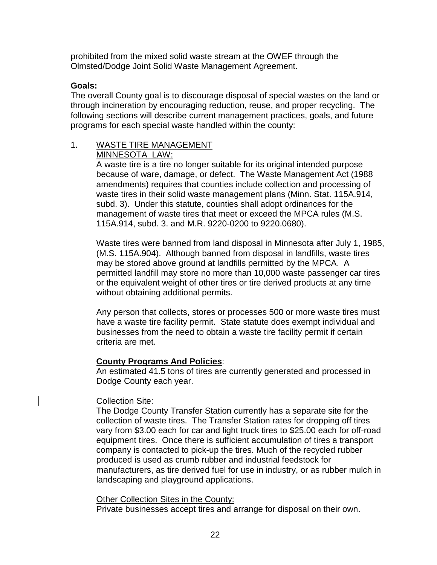prohibited from the mixed solid waste stream at the OWEF through the Olmsted/Dodge Joint Solid Waste Management Agreement.

### **Goals:**

The overall County goal is to discourage disposal of special wastes on the land or through incineration by encouraging reduction, reuse, and proper recycling. The following sections will describe current management practices, goals, and future programs for each special waste handled within the county:

#### 1. WASTE TIRE MANAGEMENT MINNESOTA LAW:

A waste tire is a tire no longer suitable for its original intended purpose because of ware, damage, or defect. The Waste Management Act (1988 amendments) requires that counties include collection and processing of waste tires in their solid waste management plans (Minn. Stat. 115A.914, subd. 3). Under this statute, counties shall adopt ordinances for the management of waste tires that meet or exceed the MPCA rules (M.S. 115A.914, subd. 3. and M.R. 9220-0200 to 9220.0680).

Waste tires were banned from land disposal in Minnesota after July 1, 1985, (M.S. 115A.904). Although banned from disposal in landfills, waste tires may be stored above ground at landfills permitted by the MPCA. A permitted landfill may store no more than 10,000 waste passenger car tires or the equivalent weight of other tires or tire derived products at any time without obtaining additional permits.

Any person that collects, stores or processes 500 or more waste tires must have a waste tire facility permit. State statute does exempt individual and businesses from the need to obtain a waste tire facility permit if certain criteria are met.

## **County Programs And Policies**:

An estimated 41.5 tons of tires are currently generated and processed in Dodge County each year.

#### Collection Site:

The Dodge County Transfer Station currently has a separate site for the collection of waste tires. The Transfer Station rates for dropping off tires vary from \$3.00 each for car and light truck tires to \$25.00 each for off-road equipment tires. Once there is sufficient accumulation of tires a transport company is contacted to pick-up the tires. Much of the recycled rubber produced is used as crumb rubber and industrial feedstock for manufacturers, as tire derived fuel for use in industry, or as rubber mulch in landscaping and playground applications.

#### Other Collection Sites in the County:

Private businesses accept tires and arrange for disposal on their own.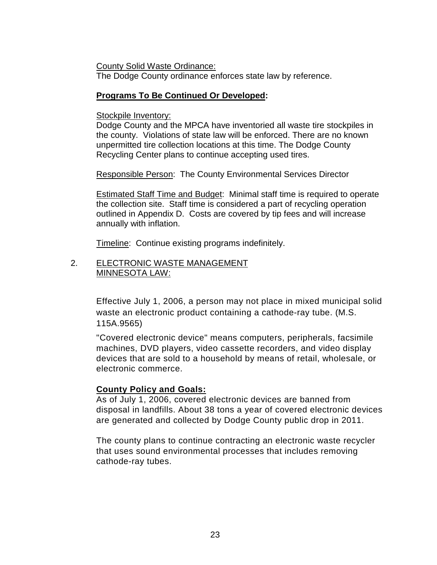County Solid Waste Ordinance:

The Dodge County ordinance enforces state law by reference.

### **Programs To Be Continued Or Developed:**

#### Stockpile Inventory:

Dodge County and the MPCA have inventoried all waste tire stockpiles in the county. Violations of state law will be enforced. There are no known unpermitted tire collection locations at this time. The Dodge County Recycling Center plans to continue accepting used tires.

Responsible Person: The County Environmental Services Director

Estimated Staff Time and Budget: Minimal staff time is required to operate the collection site. Staff time is considered a part of recycling operation outlined in Appendix D. Costs are covered by tip fees and will increase annually with inflation.

Timeline: Continue existing programs indefinitely.

### 2. ELECTRONIC WASTE MANAGEMENT MINNESOTA LAW:

Effective July 1, 2006, a person may not place in mixed municipal solid waste an electronic product containing a cathode-ray tube. (M.S. 115A.9565)

"Covered electronic device" means computers, peripherals, facsimile machines, DVD players, video cassette recorders, and video display devices that are sold to a household by means of retail, wholesale, or electronic commerce.

## **County Policy and Goals:**

As of July 1, 2006, covered electronic devices are banned from disposal in landfills. About 38 tons a year of covered electronic devices are generated and collected by Dodge County public drop in 2011.

The county plans to continue contracting an electronic waste recycler that uses sound environmental processes that includes removing cathode-ray tubes.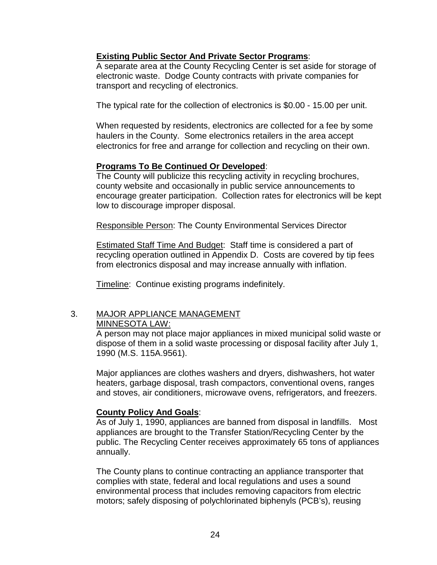### **Existing Public Sector And Private Sector Programs**:

A separate area at the County Recycling Center is set aside for storage of electronic waste. Dodge County contracts with private companies for transport and recycling of electronics.

The typical rate for the collection of electronics is \$0.00 - 15.00 per unit.

When requested by residents, electronics are collected for a fee by some haulers in the County. Some electronics retailers in the area accept electronics for free and arrange for collection and recycling on their own.

#### **Programs To Be Continued Or Developed**:

The County will publicize this recycling activity in recycling brochures, county website and occasionally in public service announcements to encourage greater participation. Collection rates for electronics will be kept low to discourage improper disposal.

Responsible Person: The County Environmental Services Director

**Estimated Staff Time And Budget: Staff time is considered a part of** recycling operation outlined in Appendix D. Costs are covered by tip fees from electronics disposal and may increase annually with inflation.

Timeline: Continue existing programs indefinitely.

#### 3. MAJOR APPLIANCE MANAGEMENT MINNESOTA LAW:

A person may not place major appliances in mixed municipal solid waste or dispose of them in a solid waste processing or disposal facility after July 1, 1990 (M.S. 115A.9561).

Major appliances are clothes washers and dryers, dishwashers, hot water heaters, garbage disposal, trash compactors, conventional ovens, ranges and stoves, air conditioners, microwave ovens, refrigerators, and freezers.

#### **County Policy And Goals**:

As of July 1, 1990, appliances are banned from disposal in landfills. Most appliances are brought to the Transfer Station/Recycling Center by the public. The Recycling Center receives approximately 65 tons of appliances annually.

The County plans to continue contracting an appliance transporter that complies with state, federal and local regulations and uses a sound environmental process that includes removing capacitors from electric motors; safely disposing of polychlorinated biphenyls (PCB's), reusing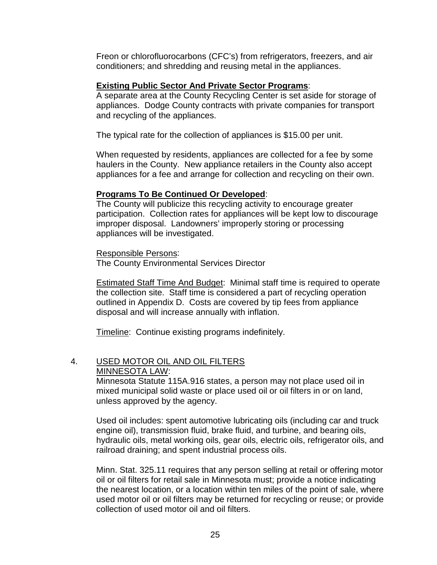Freon or chlorofluorocarbons (CFC's) from refrigerators, freezers, and air conditioners; and shredding and reusing metal in the appliances.

#### **Existing Public Sector And Private Sector Programs**:

A separate area at the County Recycling Center is set aside for storage of appliances. Dodge County contracts with private companies for transport and recycling of the appliances.

The typical rate for the collection of appliances is \$15.00 per unit.

When requested by residents, appliances are collected for a fee by some haulers in the County. New appliance retailers in the County also accept appliances for a fee and arrange for collection and recycling on their own.

#### **Programs To Be Continued Or Developed**:

The County will publicize this recycling activity to encourage greater participation. Collection rates for appliances will be kept low to discourage improper disposal. Landowners' improperly storing or processing appliances will be investigated.

#### Responsible Persons:

The County Environmental Services Director

Estimated Staff Time And Budget: Minimal staff time is required to operate the collection site. Staff time is considered a part of recycling operation outlined in Appendix D. Costs are covered by tip fees from appliance disposal and will increase annually with inflation.

Timeline: Continue existing programs indefinitely.

#### 4. USED MOTOR OIL AND OIL FILTERS MINNESOTA LAW:

Minnesota Statute 115A.916 states, a person may not place used oil in mixed municipal solid waste or place used oil or oil filters in or on land, unless approved by the agency.

Used oil includes: spent automotive lubricating oils (including car and truck engine oil), transmission fluid, brake fluid, and turbine, and bearing oils, hydraulic oils, metal working oils, gear oils, electric oils, refrigerator oils, and railroad draining; and spent industrial process oils.

Minn. Stat. 325.11 requires that any person selling at retail or offering motor oil or oil filters for retail sale in Minnesota must; provide a notice indicating the nearest location, or a location within ten miles of the point of sale, where used motor oil or oil filters may be returned for recycling or reuse; or provide collection of used motor oil and oil filters.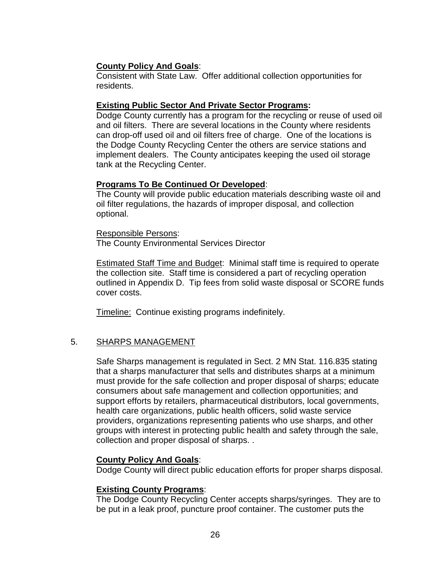## **County Policy And Goals**:

Consistent with State Law. Offer additional collection opportunities for residents.

#### **Existing Public Sector And Private Sector Programs:**

Dodge County currently has a program for the recycling or reuse of used oil and oil filters. There are several locations in the County where residents can drop-off used oil and oil filters free of charge. One of the locations is the Dodge County Recycling Center the others are service stations and implement dealers. The County anticipates keeping the used oil storage tank at the Recycling Center.

#### **Programs To Be Continued Or Developed**:

The County will provide public education materials describing waste oil and oil filter regulations, the hazards of improper disposal, and collection optional.

Responsible Persons: The County Environmental Services Director

Estimated Staff Time and Budget: Minimal staff time is required to operate the collection site. Staff time is considered a part of recycling operation outlined in Appendix D. Tip fees from solid waste disposal or SCORE funds cover costs.

Timeline: Continue existing programs indefinitely.

#### 5. SHARPS MANAGEMENT

Safe Sharps management is regulated in Sect. 2 MN Stat. 116.835 stating that a sharps manufacturer that sells and distributes sharps at a minimum must provide for the safe collection and proper disposal of sharps; educate consumers about safe management and collection opportunities; and support efforts by retailers, pharmaceutical distributors, local governments, health care organizations, public health officers, solid waste service providers, organizations representing patients who use sharps, and other groups with interest in protecting public health and safety through the sale, collection and proper disposal of sharps. .

#### **County Policy And Goals**:

Dodge County will direct public education efforts for proper sharps disposal.

#### **Existing County Programs**:

The Dodge County Recycling Center accepts sharps/syringes. They are to be put in a leak proof, puncture proof container. The customer puts the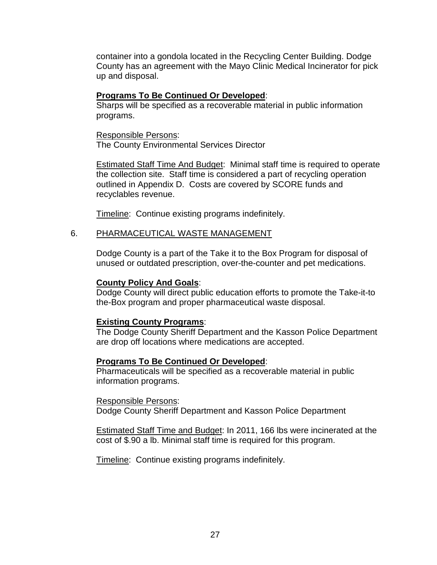container into a gondola located in the Recycling Center Building. Dodge County has an agreement with the Mayo Clinic Medical Incinerator for pick up and disposal.

#### **Programs To Be Continued Or Developed**:

Sharps will be specified as a recoverable material in public information programs.

Responsible Persons: The County Environmental Services Director

Estimated Staff Time And Budget: Minimal staff time is required to operate the collection site. Staff time is considered a part of recycling operation outlined in Appendix D. Costs are covered by SCORE funds and recyclables revenue.

Timeline: Continue existing programs indefinitely.

#### 6. PHARMACEUTICAL WASTE MANAGEMENT

Dodge County is a part of the Take it to the Box Program for disposal of unused or outdated prescription, over-the-counter and pet medications.

#### **County Policy And Goals**:

Dodge County will direct public education efforts to promote the Take-it-to the-Box program and proper pharmaceutical waste disposal.

#### **Existing County Programs**:

The Dodge County Sheriff Department and the Kasson Police Department are drop off locations where medications are accepted.

#### **Programs To Be Continued Or Developed**:

Pharmaceuticals will be specified as a recoverable material in public information programs.

Responsible Persons: Dodge County Sheriff Department and Kasson Police Department

Estimated Staff Time and Budget: In 2011, 166 lbs were incinerated at the cost of \$.90 a lb. Minimal staff time is required for this program.

Timeline: Continue existing programs indefinitely.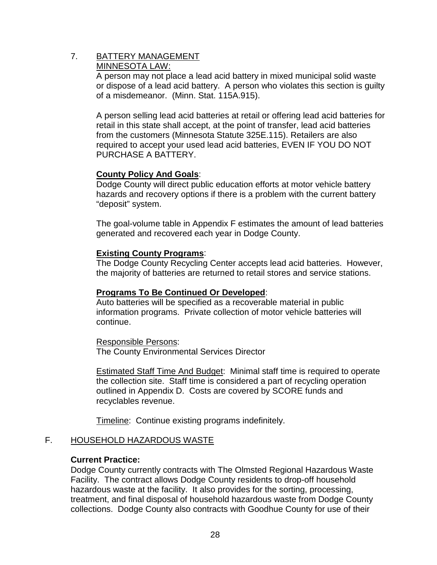#### 7. BATTERY MANAGEMENT MINNESOTA LAW:

A person may not place a lead acid battery in mixed municipal solid waste or dispose of a lead acid battery. A person who violates this section is guilty of a misdemeanor. (Minn. Stat. 115A.915).

A person selling lead acid batteries at retail or offering lead acid batteries for retail in this state shall accept, at the point of transfer, lead acid batteries from the customers (Minnesota Statute 325E.115). Retailers are also required to accept your used lead acid batteries, EVEN IF YOU DO NOT PURCHASE A BATTERY.

## **County Policy And Goals**:

Dodge County will direct public education efforts at motor vehicle battery hazards and recovery options if there is a problem with the current battery "deposit" system.

The goal-volume table in Appendix F estimates the amount of lead batteries generated and recovered each year in Dodge County.

## **Existing County Programs**:

The Dodge County Recycling Center accepts lead acid batteries. However, the majority of batteries are returned to retail stores and service stations.

## **Programs To Be Continued Or Developed**:

Auto batteries will be specified as a recoverable material in public information programs. Private collection of motor vehicle batteries will continue.

Responsible Persons: The County Environmental Services Director

Estimated Staff Time And Budget: Minimal staff time is required to operate the collection site. Staff time is considered a part of recycling operation outlined in Appendix D. Costs are covered by SCORE funds and recyclables revenue.

Timeline: Continue existing programs indefinitely.

# F. HOUSEHOLD HAZARDOUS WASTE

#### **Current Practice:**

Dodge County currently contracts with The Olmsted Regional Hazardous Waste Facility. The contract allows Dodge County residents to drop-off household hazardous waste at the facility. It also provides for the sorting, processing, treatment, and final disposal of household hazardous waste from Dodge County collections. Dodge County also contracts with Goodhue County for use of their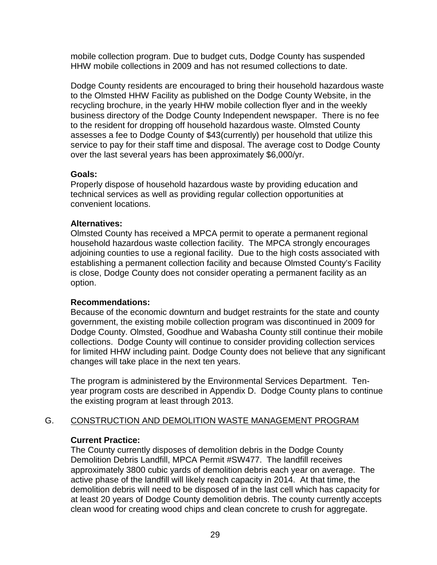mobile collection program. Due to budget cuts, Dodge County has suspended HHW mobile collections in 2009 and has not resumed collections to date.

Dodge County residents are encouraged to bring their household hazardous waste to the Olmsted HHW Facility as published on the Dodge County Website, in the recycling brochure, in the yearly HHW mobile collection flyer and in the weekly business directory of the Dodge County Independent newspaper. There is no fee to the resident for dropping off household hazardous waste. Olmsted County assesses a fee to Dodge County of \$43(currently) per household that utilize this service to pay for their staff time and disposal. The average cost to Dodge County over the last several years has been approximately \$6,000/yr.

### **Goals:**

Properly dispose of household hazardous waste by providing education and technical services as well as providing regular collection opportunities at convenient locations.

### **Alternatives:**

Olmsted County has received a MPCA permit to operate a permanent regional household hazardous waste collection facility. The MPCA strongly encourages adjoining counties to use a regional facility. Due to the high costs associated with establishing a permanent collection facility and because Olmsted County's Facility is close, Dodge County does not consider operating a permanent facility as an option.

## **Recommendations:**

Because of the economic downturn and budget restraints for the state and county government, the existing mobile collection program was discontinued in 2009 for Dodge County. Olmsted, Goodhue and Wabasha County still continue their mobile collections. Dodge County will continue to consider providing collection services for limited HHW including paint. Dodge County does not believe that any significant changes will take place in the next ten years.

The program is administered by the Environmental Services Department. Tenyear program costs are described in Appendix D. Dodge County plans to continue the existing program at least through 2013.

# G. CONSTRUCTION AND DEMOLITION WASTE MANAGEMENT PROGRAM

## **Current Practice:**

The County currently disposes of demolition debris in the Dodge County Demolition Debris Landfill, MPCA Permit #SW477. The landfill receives approximately 3800 cubic yards of demolition debris each year on average. The active phase of the landfill will likely reach capacity in 2014. At that time, the demolition debris will need to be disposed of in the last cell which has capacity for at least 20 years of Dodge County demolition debris. The county currently accepts clean wood for creating wood chips and clean concrete to crush for aggregate.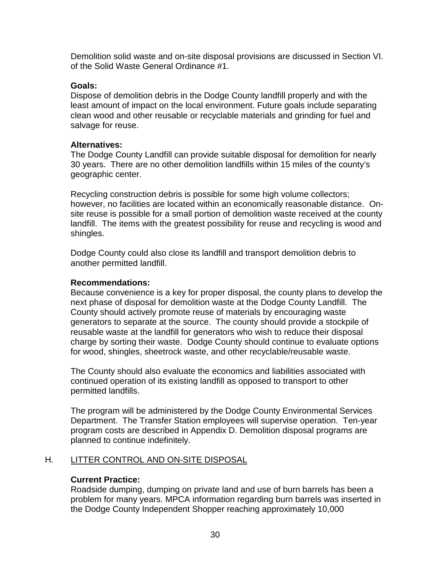Demolition solid waste and on-site disposal provisions are discussed in Section VI. of the Solid Waste General Ordinance #1.

#### **Goals:**

Dispose of demolition debris in the Dodge County landfill properly and with the least amount of impact on the local environment. Future goals include separating clean wood and other reusable or recyclable materials and grinding for fuel and salvage for reuse.

#### **Alternatives:**

The Dodge County Landfill can provide suitable disposal for demolition for nearly 30 years. There are no other demolition landfills within 15 miles of the county's geographic center.

Recycling construction debris is possible for some high volume collectors; however, no facilities are located within an economically reasonable distance. Onsite reuse is possible for a small portion of demolition waste received at the county landfill. The items with the greatest possibility for reuse and recycling is wood and shingles.

Dodge County could also close its landfill and transport demolition debris to another permitted landfill.

#### **Recommendations:**

Because convenience is a key for proper disposal, the county plans to develop the next phase of disposal for demolition waste at the Dodge County Landfill. The County should actively promote reuse of materials by encouraging waste generators to separate at the source. The county should provide a stockpile of reusable waste at the landfill for generators who wish to reduce their disposal charge by sorting their waste. Dodge County should continue to evaluate options for wood, shingles, sheetrock waste, and other recyclable/reusable waste.

The County should also evaluate the economics and liabilities associated with continued operation of its existing landfill as opposed to transport to other permitted landfills.

The program will be administered by the Dodge County Environmental Services Department. The Transfer Station employees will supervise operation. Ten-year program costs are described in Appendix D. Demolition disposal programs are planned to continue indefinitely.

#### H. LITTER CONTROL AND ON-SITE DISPOSAL

#### **Current Practice:**

Roadside dumping, dumping on private land and use of burn barrels has been a problem for many years. MPCA information regarding burn barrels was inserted in the Dodge County Independent Shopper reaching approximately 10,000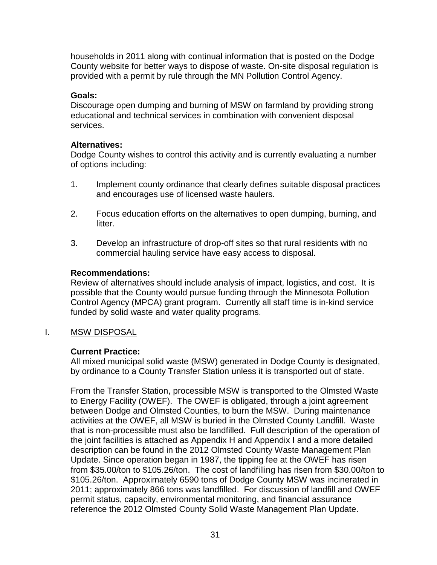households in 2011 along with continual information that is posted on the Dodge County website for better ways to dispose of waste. On-site disposal regulation is provided with a permit by rule through the MN Pollution Control Agency.

### **Goals:**

Discourage open dumping and burning of MSW on farmland by providing strong educational and technical services in combination with convenient disposal services.

### **Alternatives:**

Dodge County wishes to control this activity and is currently evaluating a number of options including:

- 1. Implement county ordinance that clearly defines suitable disposal practices and encourages use of licensed waste haulers.
- 2. Focus education efforts on the alternatives to open dumping, burning, and litter.
- 3. Develop an infrastructure of drop-off sites so that rural residents with no commercial hauling service have easy access to disposal.

### **Recommendations:**

Review of alternatives should include analysis of impact, logistics, and cost. It is possible that the County would pursue funding through the Minnesota Pollution Control Agency (MPCA) grant program. Currently all staff time is in-kind service funded by solid waste and water quality programs.

## I. MSW DISPOSAL

#### **Current Practice:**

All mixed municipal solid waste (MSW) generated in Dodge County is designated, by ordinance to a County Transfer Station unless it is transported out of state.

From the Transfer Station, processible MSW is transported to the Olmsted Waste to Energy Facility (OWEF). The OWEF is obligated, through a joint agreement between Dodge and Olmsted Counties, to burn the MSW. During maintenance activities at the OWEF, all MSW is buried in the Olmsted County Landfill. Waste that is non-processible must also be landfilled. Full description of the operation of the joint facilities is attached as Appendix H and Appendix I and a more detailed description can be found in the 2012 Olmsted County Waste Management Plan Update. Since operation began in 1987, the tipping fee at the OWEF has risen from \$35.00/ton to \$105.26/ton. The cost of landfilling has risen from \$30.00/ton to \$105.26/ton. Approximately 6590 tons of Dodge County MSW was incinerated in 2011; approximately 866 tons was landfilled. For discussion of landfill and OWEF permit status, capacity, environmental monitoring, and financial assurance reference the 2012 Olmsted County Solid Waste Management Plan Update.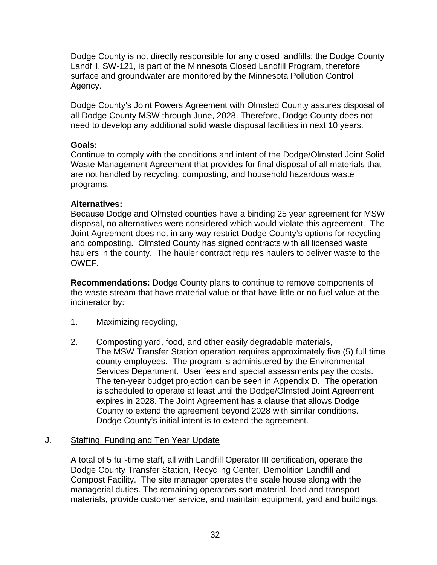Dodge County is not directly responsible for any closed landfills; the Dodge County Landfill, SW-121, is part of the Minnesota Closed Landfill Program, therefore surface and groundwater are monitored by the Minnesota Pollution Control Agency.

Dodge County's Joint Powers Agreement with Olmsted County assures disposal of all Dodge County MSW through June, 2028. Therefore, Dodge County does not need to develop any additional solid waste disposal facilities in next 10 years.

#### **Goals:**

Continue to comply with the conditions and intent of the Dodge/Olmsted Joint Solid Waste Management Agreement that provides for final disposal of all materials that are not handled by recycling, composting, and household hazardous waste programs.

### **Alternatives:**

Because Dodge and Olmsted counties have a binding 25 year agreement for MSW disposal, no alternatives were considered which would violate this agreement. The Joint Agreement does not in any way restrict Dodge County's options for recycling and composting. Olmsted County has signed contracts with all licensed waste haulers in the county. The hauler contract requires haulers to deliver waste to the OWEF.

**Recommendations:** Dodge County plans to continue to remove components of the waste stream that have material value or that have little or no fuel value at the incinerator by:

- 1. Maximizing recycling,
- 2. Composting yard, food, and other easily degradable materials, The MSW Transfer Station operation requires approximately five (5) full time county employees. The program is administered by the Environmental Services Department. User fees and special assessments pay the costs. The ten-year budget projection can be seen in Appendix D. The operation is scheduled to operate at least until the Dodge/Olmsted Joint Agreement expires in 2028. The Joint Agreement has a clause that allows Dodge County to extend the agreement beyond 2028 with similar conditions. Dodge County's initial intent is to extend the agreement.

## J. Staffing, Funding and Ten Year Update

A total of 5 full-time staff, all with Landfill Operator III certification, operate the Dodge County Transfer Station, Recycling Center, Demolition Landfill and Compost Facility. The site manager operates the scale house along with the managerial duties. The remaining operators sort material, load and transport materials, provide customer service, and maintain equipment, yard and buildings.